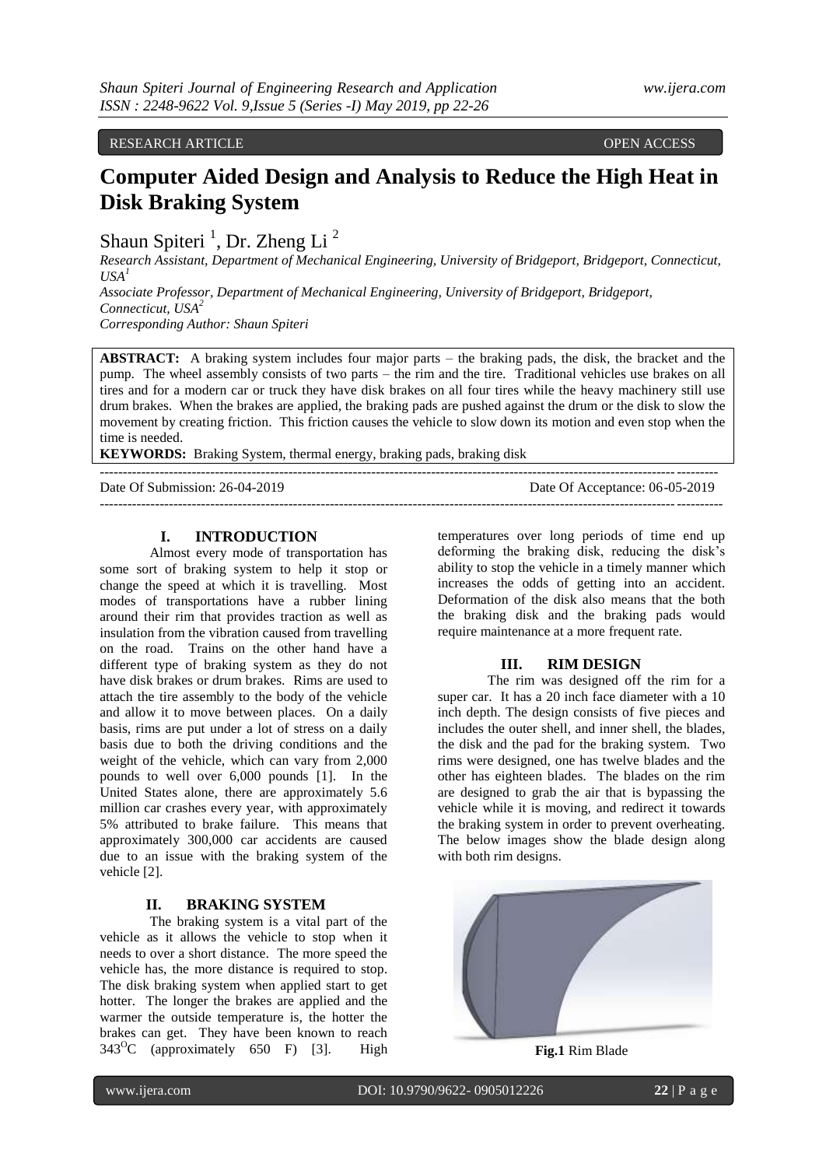RESEARCH ARTICLE **OPEN ACCESS** 

# **Computer Aided Design and Analysis to Reduce the High Heat in Disk Braking System**

Shaun Spiteri<sup>1</sup>, Dr. Zheng Li<sup>2</sup>

*Research Assistant, Department of Mechanical Engineering, University of Bridgeport, Bridgeport, Connecticut,*   $USA<sup>1</sup>$ 

*Associate Professor, Department of Mechanical Engineering, University of Bridgeport, Bridgeport, Connecticut, USA<sup>2</sup> Corresponding Author: Shaun Spiteri*

**ABSTRACT:** A braking system includes four major parts – the braking pads, the disk, the bracket and the pump. The wheel assembly consists of two parts – the rim and the tire. Traditional vehicles use brakes on all tires and for a modern car or truck they have disk brakes on all four tires while the heavy machinery still use drum brakes. When the brakes are applied, the braking pads are pushed against the drum or the disk to slow the movement by creating friction. This friction causes the vehicle to slow down its motion and even stop when the time is needed.

--------------------------------------------------------------------------------------------------------------------------------------

**KEYWORDS:** Braking System, thermal energy, braking pads, braking disk

Date Of Submission: 26-04-2019 Date Of Acceptance: 06-05-2019

 $-1\leq i\leq n-1$ 

# **I. INTRODUCTION**

Almost every mode of transportation has some sort of braking system to help it stop or change the speed at which it is travelling. Most modes of transportations have a rubber lining around their rim that provides traction as well as insulation from the vibration caused from travelling on the road. Trains on the other hand have a different type of braking system as they do not have disk brakes or drum brakes. Rims are used to attach the tire assembly to the body of the vehicle and allow it to move between places. On a daily basis, rims are put under a lot of stress on a daily basis due to both the driving conditions and the weight of the vehicle, which can vary from 2,000 pounds to well over 6,000 pounds [1]. In the United States alone, there are approximately 5.6 million car crashes every year, with approximately 5% attributed to brake failure. This means that approximately 300,000 car accidents are caused due to an issue with the braking system of the vehicle [2].

# **II. BRAKING SYSTEM**

The braking system is a vital part of the vehicle as it allows the vehicle to stop when it needs to over a short distance. The more speed the vehicle has, the more distance is required to stop. The disk braking system when applied start to get hotter. The longer the brakes are applied and the warmer the outside temperature is, the hotter the brakes can get. They have been known to reach  $343^{\circ}$ C (approximately 650 F) [3]. High

temperatures over long periods of time end up deforming the braking disk, reducing the disk's ability to stop the vehicle in a timely manner which increases the odds of getting into an accident. Deformation of the disk also means that the both the braking disk and the braking pads would require maintenance at a more frequent rate.

# **III. RIM DESIGN**

The rim was designed off the rim for a super car. It has a 20 inch face diameter with a 10 inch depth. The design consists of five pieces and includes the outer shell, and inner shell, the blades, the disk and the pad for the braking system. Two rims were designed, one has twelve blades and the other has eighteen blades. The blades on the rim are designed to grab the air that is bypassing the vehicle while it is moving, and redirect it towards the braking system in order to prevent overheating. The below images show the blade design along with both rim designs.



**Fig.1** Rim Blade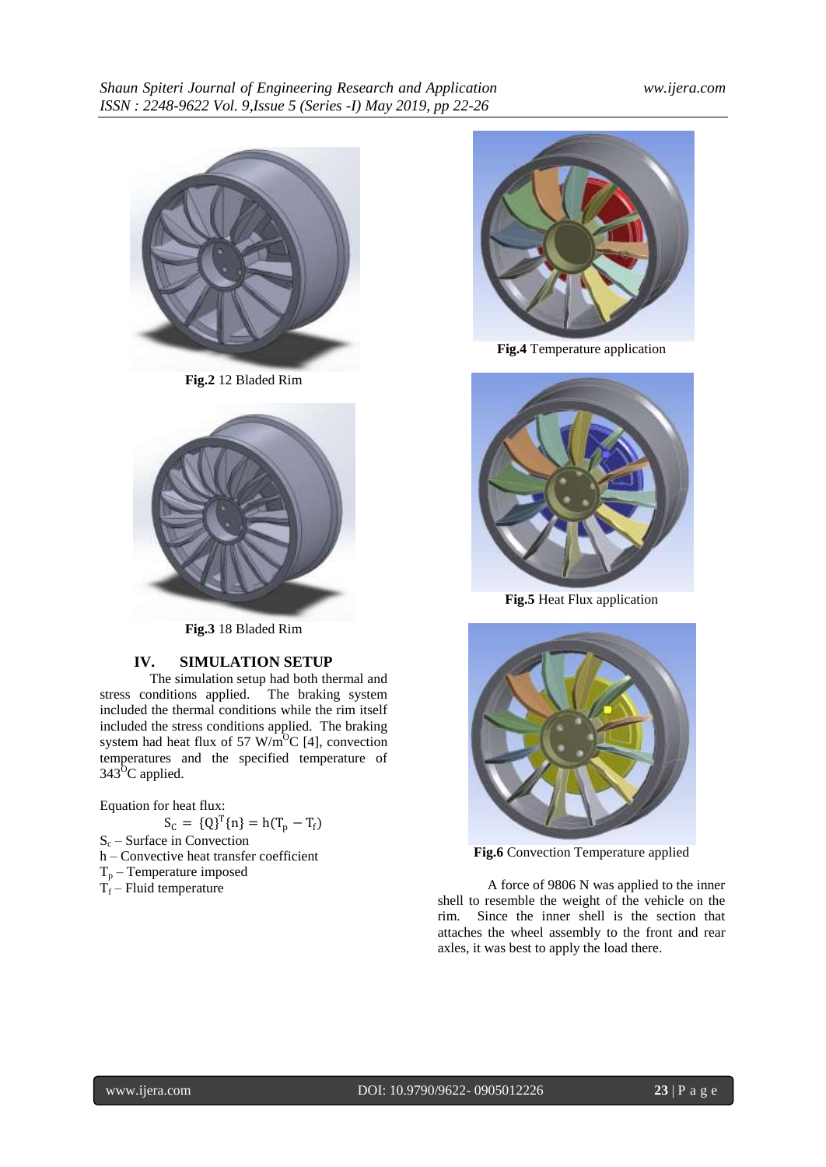

**Fig.2** 12 Bladed Rim



**Fig.3** 18 Bladed Rim

# **IV. SIMULATION SETUP**

The simulation setup had both thermal and stress conditions applied. The braking system included the thermal conditions while the rim itself included the stress conditions applied. The braking system had heat flux of 57 W/m<sup>o</sup>C [4], convection temperatures and the specified temperature of  $343^{\circ}$ C applied.

Equation for heat flux:

- $S_C = \{Q\}^T \{n\} = h(T_p T_f)$
- $S_c$  Surface in Convection
- h Convective heat transfer coefficient
- $T_p$  Temperature imposed
- $T_f$  Fluid temperature



**Fig.4** Temperature application



**Fig.5** Heat Flux application



**Fig.6** Convection Temperature applied

A force of 9806 N was applied to the inner shell to resemble the weight of the vehicle on the rim. Since the inner shell is the section that attaches the wheel assembly to the front and rear axles, it was best to apply the load there.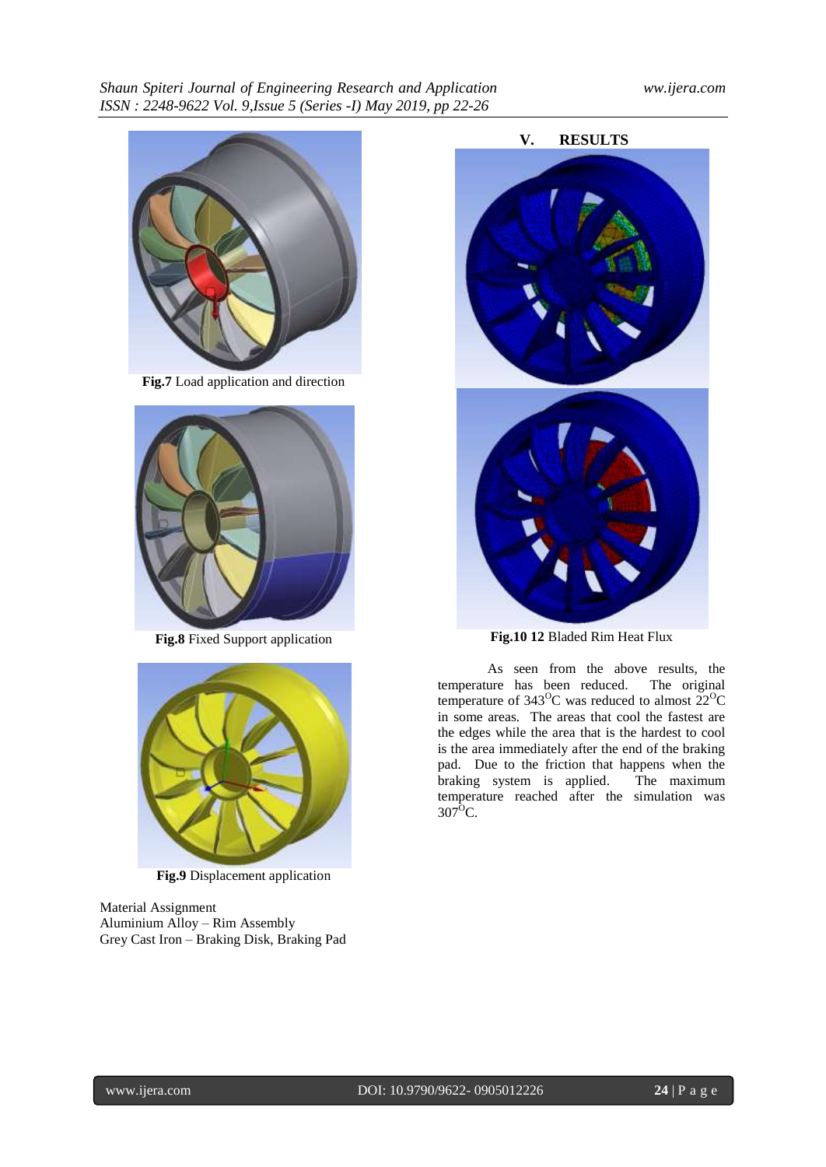

**Fig.7** Load application and direction



**Fig.8** Fixed Support application



**Fig.9** Displacement application

Material Assignment Aluminium Alloy – Rim Assembly Grey Cast Iron – Braking Disk, Braking Pad



As seen from the above results, the temperature has been reduced. The original temperature of  $343^{\circ}$ C was reduced to almost  $22^{\circ}$ C in some areas. The areas that cool the fastest are the edges while the area that is the hardest to cool is the area immediately after the end of the braking pad. Due to the friction that happens when the braking system is applied. The maximum braking system is applied. temperature reached after the simulation was 307<sup>o</sup>C.

**V. RESULTS**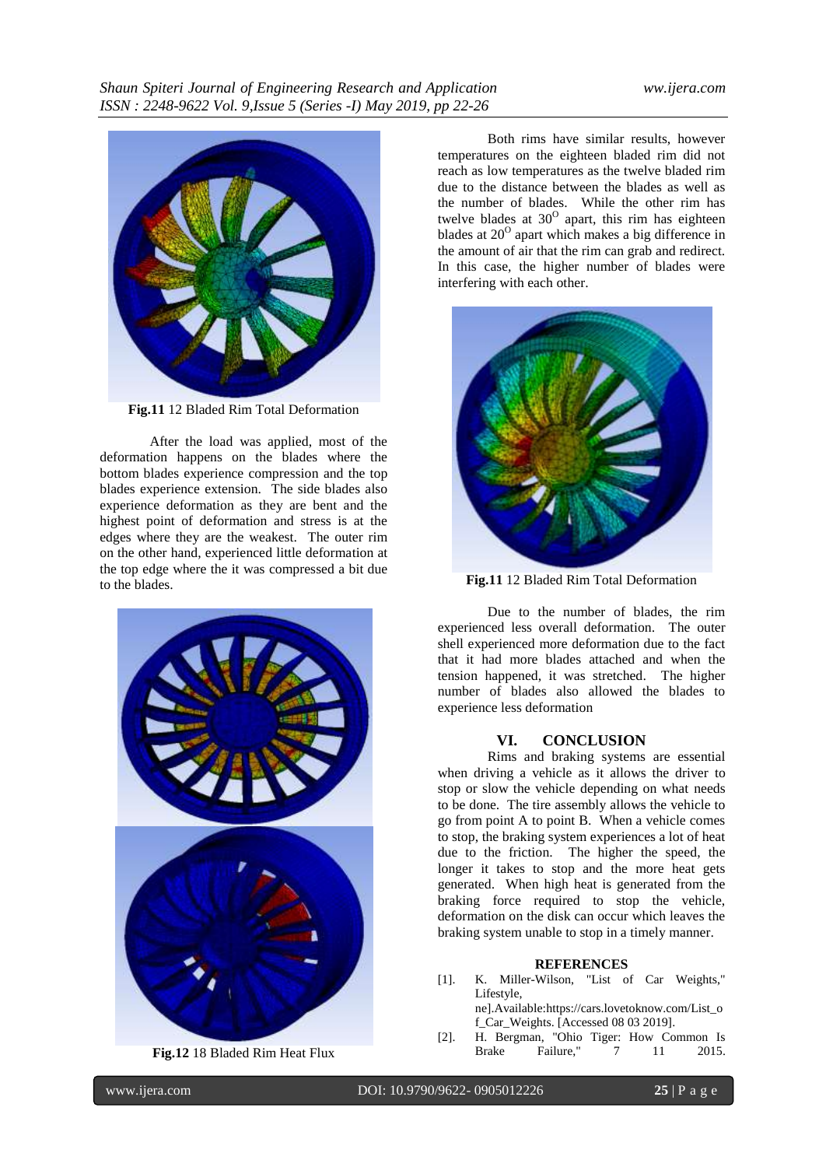

**Fig.11** 12 Bladed Rim Total Deformation

After the load was applied, most of the deformation happens on the blades where the bottom blades experience compression and the top blades experience extension. The side blades also experience deformation as they are bent and the highest point of deformation and stress is at the edges where they are the weakest. The outer rim on the other hand, experienced little deformation at the top edge where the it was compressed a bit due to the blades.



**Fig.12** 18 Bladed Rim Heat Flux

Both rims have similar results, however temperatures on the eighteen bladed rim did not reach as low temperatures as the twelve bladed rim due to the distance between the blades as well as the number of blades. While the other rim has twelve blades at  $30^{\circ}$  apart, this rim has eighteen blades at  $20^{\circ}$  apart which makes a big difference in the amount of air that the rim can grab and redirect. In this case, the higher number of blades were interfering with each other.





Due to the number of blades, the rim experienced less overall deformation. The outer shell experienced more deformation due to the fact that it had more blades attached and when the tension happened, it was stretched. The higher number of blades also allowed the blades to experience less deformation

### **VI. CONCLUSION**

Rims and braking systems are essential when driving a vehicle as it allows the driver to stop or slow the vehicle depending on what needs to be done. The tire assembly allows the vehicle to go from point A to point B. When a vehicle comes to stop, the braking system experiences a lot of heat due to the friction. The higher the speed, the longer it takes to stop and the more heat gets generated. When high heat is generated from the braking force required to stop the vehicle, deformation on the disk can occur which leaves the braking system unable to stop in a timely manner.

### **REFERENCES**

- [1]. K. Miller-Wilson, "List of Car Weights," Lifestyle, ne].Available:https://cars.lovetoknow.com/List\_o f\_Car\_Weights. [Accessed 08 03 2019].
- [2]. H. Bergman, "Ohio Tiger: How Common Is Failure," 7 11 2015.